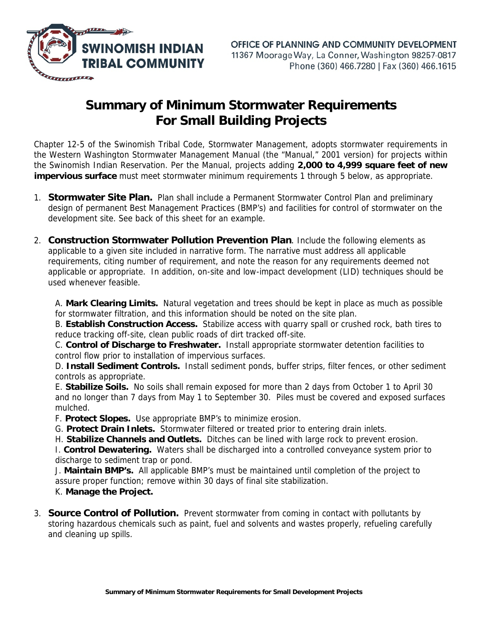

## **Summary of Minimum Stormwater Requirements For Small Building Projects**

Chapter 12-5 of the Swinomish Tribal Code, Stormwater Management, adopts stormwater requirements in the Western Washington Stormwater Management Manual (the "Manual," 2001 version) for projects within the Swinomish Indian Reservation. Per the Manual, projects adding **2,000 to 4,999 square feet of new impervious surface** must meet stormwater minimum requirements 1 through 5 below, as appropriate.

- 1. **Stormwater Site Plan.** Plan shall include a Permanent Stormwater Control Plan and preliminary design of permanent Best Management Practices (BMP's) and facilities for control of stormwater on the development site. See back of this sheet for an example.
- 2. **Construction Stormwater Pollution Prevention Plan**. Include the following elements as applicable to a given site included in narrative form. The narrative must address all applicable requirements, citing number of requirement, and note the reason for any requirements deemed not applicable or appropriate. In addition, on-site and low-impact development (LID) techniques should be used whenever feasible.

A. **Mark Clearing Limits.** Natural vegetation and trees should be kept in place as much as possible for stormwater filtration, and this information should be noted on the site plan.

B. **Establish Construction Access.** Stabilize access with quarry spall or crushed rock, bath tires to reduce tracking off-site, clean public roads of dirt tracked off-site.

C. **Control of Discharge to Freshwater.** Install appropriate stormwater detention facilities to control flow prior to installation of impervious surfaces.

D. **Install Sediment Controls.** Install sediment ponds, buffer strips, filter fences, or other sediment controls as appropriate.

E. **Stabilize Soils.** No soils shall remain exposed for more than 2 days from October 1 to April 30 and no longer than 7 days from May 1 to September 30. Piles must be covered and exposed surfaces mulched.

F. **Protect Slopes.** Use appropriate BMP's to minimize erosion.

G. **Protect Drain Inlets.** Stormwater filtered or treated prior to entering drain inlets.

H. **Stabilize Channels and Outlets.** Ditches can be lined with large rock to prevent erosion.

I. **Control Dewatering.** Waters shall be discharged into a controlled conveyance system prior to discharge to sediment trap or pond.

J. **Maintain BMP's.** All applicable BMP's must be maintained until completion of the project to assure proper function; remove within 30 days of final site stabilization.

K. **Manage the Project.**

3. **Source Control of Pollution.** Prevent stormwater from coming in contact with pollutants by storing hazardous chemicals such as paint, fuel and solvents and wastes properly, refueling carefully and cleaning up spills.